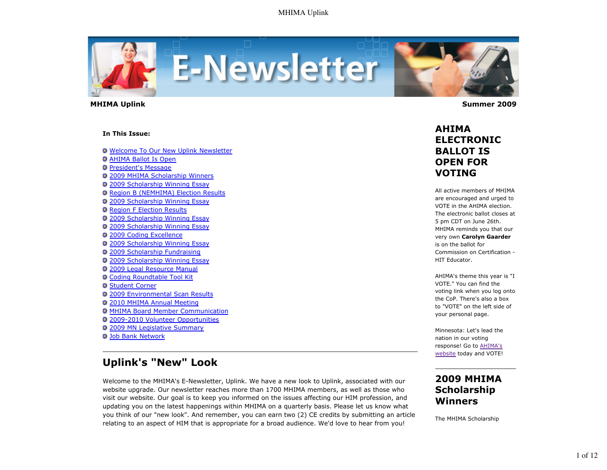

 **MHIMA Uplink Summer 2009** 

#### **In This Issue:**

**O** Welcome To Our New Uplink Newsletter AHIMA Ballot Is Open **President's Message** 2009 MHIMA Scholarship Winners 2009 Scholarship Winning Essay Region B (NEMHIMA) Election Results 2009 Scholarship Winning Essay **Q Region F Election Results** 2009 Scholarship Winning Essay 2009 Scholarship Winning Essay 2009 Coding Excellence 2009 Scholarship Winning Essay 2009 Scholarship Fundraising 2009 Scholarship Winning Essay 2009 Legal Resource Manual Coding Roundtable Tool Kit **O** Student Corner 2009 Environmental Scan Results 2010 MHIMA Annual Meeting MHIMA Board Member Communication 2009-2010 Volunteer Opportunities 2009 MN Legislative Summary **Q Job Bank Network** 

# **Uplink's "New" Look**

Welcome to the MHIMA's E-Newsletter, Uplink. We have a new look to Uplink, associated with our website upgrade. Our newsletter reaches more than 1700 MHIMA members, as well as those who visit our website. Our goal is to keep you informed on the issues affecting our HIM profession, and updating you on the latest happenings within MHIMA on a quarterly basis. Please let us know what you think of our "new look". And remember, you can earn two (2) CE credits by submitting an article relating to an aspect of HIM that is appropriate for a broad audience. We'd love to hear from you!

### **AHIMA ELECTRONIC BALLOT IS OPEN FOR VOTING**

All active members of MHIMA are encouraged and urged to VOTE in the AHIMA election. The electronic ballot closes at 5 pm CDT on June 26th. MHIMA reminds you that our very own **Carolyn Gaarder** is on the ballot for Commission on Certification - HIT Educator.

AHIMA's theme this year is "I VOTE." You can find the voting link when you log onto the CoP. There's also a box to "VOTE" on the left side of your personal page.

Minnesota: Let's lead the nation in our voting response! Go to AHIMA's website today and VOTE!

### **2009 MHIMA Scholarship Winners**

The MHIMA Scholarship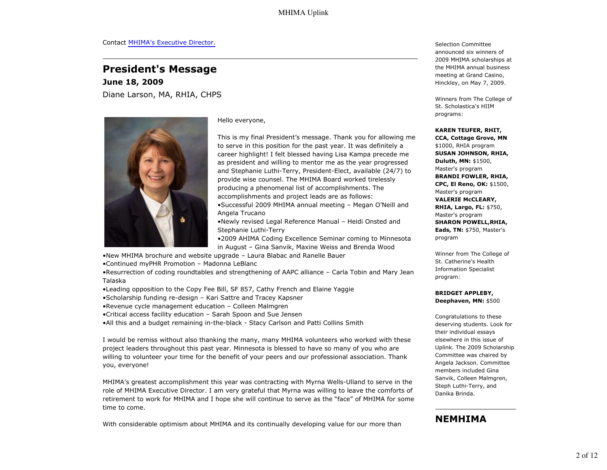### **President's Message**

**June 18, 2009** Diane Larson, MA, RHIA, CHPS



Hello everyone,

This is my final President's message. Thank you for allowing me to serve in this position for the past year. It was definitely a career highlight! I felt blessed having Lisa Kampa precede me as president and willing to mentor me as the year progressed and Stephanie Luthi-Terry, President-Elect, available (24/7) to provide wise counsel. The MHIMA Board worked tirelessly producing a phenomenal list of accomplishments. The accomplishments and project leads are as follows:

•Successful 2009 MHIMA annual meeting – Megan O'Neill and Angela Trucano

•Newly revised Legal Reference Manual – Heidi Onsted and Stephanie Luthi-Terry

•2009 AHIMA Coding Excellence Seminar coming to Minnesota in August – Gina Sanvik, Maxine Weiss and Brenda Wood

- •New MHIMA brochure and website upgrade Laura Blabac and Ranelle Bauer
- •Continued myPHR Promotion Madonna LeBlanc

•Resurrection of coding roundtables and strengthening of AAPC alliance – Carla Tobin and Mary Jean Talaska

- •Leading opposition to the Copy Fee Bill, SF 857, Cathy French and Elaine Yaggie
- •Scholarship funding re-design Kari Sattre and Tracey Kapsner
- •Revenue cycle management education Colleen Malmgren
- •Critical access facility education Sarah Spoon and Sue Jensen

•All this and a budget remaining in-the-black - Stacy Carlson and Patti Collins Smith

I would be remiss without also thanking the many, many MHIMA volunteers who worked with these project leaders throughout this past year. Minnesota is blessed to have so many of you who are willing to volunteer your time for the benefit of your peers and our professional association. Thank you, everyone!

MHIMA's greatest accomplishment this year was contracting with Myrna Wells-Ulland to serve in the role of MHIMA Executive Director. I am very grateful that Myrna was willing to leave the comforts of retirement to work for MHIMA and I hope she will continue to serve as the "face" of MHIMA for some time to come.

With considerable optimism about MHIMA and its continually developing value for our more than

Selection Committee announced six winners of 2009 MHIMA scholarships at the MHIMA annual business meeting at Grand Casino, Hinckley, on May 7, 2009.

Winners from The College of St. Scholastica's HIIM programs:

#### **KAREN TEUFER, RHIT,**

**CCA, Cottage Grove, MN** \$1000, RHIA program **SUSAN JOHNSON, RHIA, Duluth, MN:** \$1500, Master's program **BRANDI FOWLER, RHIA, CPC, El Reno, OK:** \$1500, Master's program **VALERIE McCLEARY, RHIA, Largo, FL:** \$750, Master's program **SHARON POWELL,RHIA, Eads, TN:** \$750, Master's program

Winner from The College of St. Catherine's Health Information Specialist program:

#### **BRIDGET APPLEBY, Deephaven, MN:** \$500

Congratulations to these deserving students. Look for their individual essays elsewhere in this issue of Uplink. The 2009 Scholarship Committee was chaired by Angela Jackson. Committee members included Gina Sanvik, Colleen Malmgren, Steph Luthi-Terry, and Danika Brinda.

### **NEMHIMA**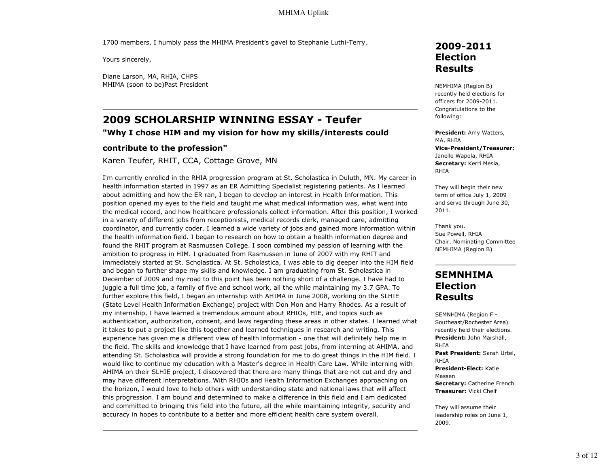1700 members, I humbly pass the MHIMA President's gavel to Stephanie Luthi-Terry.

Yours sincerely,

Diane Larson, MA, RHIA, CHPS MHIMA (soon to be)Past President

# **2009 SCHOLARSHIP WINNING ESSAY - Teufer**

#### **"Why I chose HIM and my vision for how my skills/interests could**

#### **contribute to the profession"**

Karen Teufer, RHIT, CCA, Cottage Grove, MN

I'm currently enrolled in the RHIA progression program at St. Scholastica in Duluth, MN. My career in health information started in 1997 as an ER Admitting Specialist registering patients. As I learned about admitting and how the ER ran, I began to develop an interest in Health Information. This position opened my eyes to the field and taught me what medical information was, what went into the medical record, and how healthcare professionals collect information. After this position, I worked in a variety of different jobs from receptionists, medical records clerk, managed care, admitting coordinator, and currently coder. I learned a wide variety of jobs and gained more information within the health information field. I began to research on how to obtain a health information degree and found the RHIT program at Rasmussen College. I soon combined my passion of learning with the ambition to progress in HIM. I graduated from Rasmussen in June of 2007 with my RHIT and immediately started at St. Scholastica. At St. Scholastica, I was able to dig deeper into the HIM field and began to further shape my skills and knowledge. I am graduating from St. Scholastica in December of 2009 and my road to this point has been nothing short of a challenge. I have had to juggle a full time job, a family of five and school work, all the while maintaining my 3.7 GPA. To further explore this field, I began an internship with AHIMA in June 2008, working on the SLHIE (State Level Health Information Exchange) project with Don Mon and Harry Rhodes. As a result of my internship, I have learned a tremendous amount about RHIOs, HIE, and topics such as authentication, authorization, consent, and laws regarding these areas in other states. I learned what it takes to put a project like this together and learned techniques in research and writing. This experience has given me a different view of health information - one that will definitely help me in the field. The skills and knowledge that I have learned from past jobs, from interning at AHIMA, and attending St. Scholastica will provide a strong foundation for me to do great things in the HIM field. I would like to continue my education with a Master's degree in Health Care Law. While interning with AHIMA on their SLHIE project, I discovered that there are many things that are not cut and dry and may have different interpretations. With RHIOs and Health Information Exchanges approaching on the horizon, I would love to help others with understanding state and national laws that will affect this progression. I am bound and determined to make a difference in this field and I am dedicated and committed to bringing this field into the future, all the while maintaining integrity, security and accuracy in hopes to contribute to a better and more efficient health care system overall.

### **2009-2011 Election Results**

NEMHIMA (Region B) recently held elections for officers for 2009-2011. Congratulations to the following:

**President:** Amy Watters, MA, RHIA **Vice-President/Treasurer:** Janelle Wapola, RHIA **Secretary:** Kerri Mesia, RHIA

They will begin their new term of office July 1, 2009 and serve through June 30, 2011.

Thank you. Sue Powell, RHIA Chair, Nominating Committee NEMHIMA (Region B)

### **SEMNHIMA Election Results**

SEMNHIMA (Region F - Southeast/Rochester Area) recently held their elections. **President:** John Marshall, RHIA **Past President:** Sarah Urtel, RHIA **President-Elect:** Katie Massen **Secretary:** Catherine French **Treasurer:** Vicki Chelf

They will assume their leadership roles on June 1, 2009.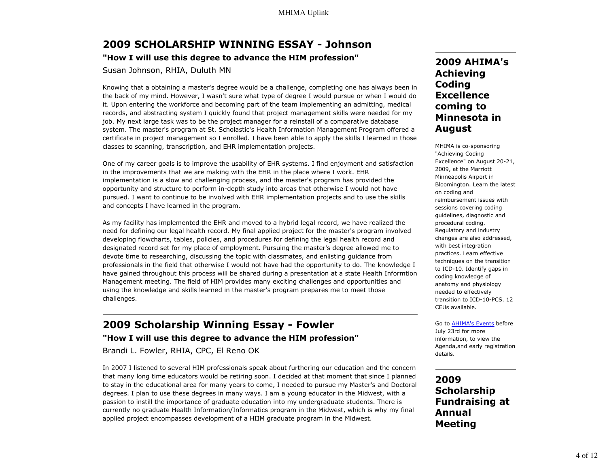# **2009 SCHOLARSHIP WINNING ESSAY - Johnson**

### **"How I will use this degree to advance the HIM profession"**

Susan Johnson, RHIA, Duluth MN

Knowing that a obtaining a master's degree would be a challenge, completing one has always been in the back of my mind. However, I wasn't sure what type of degree I would pursue or when I would do it. Upon entering the workforce and becoming part of the team implementing an admitting, medical records, and abstracting system I quickly found that project management skills were needed for my job. My next large task was to be the project manager for a reinstall of a comparative database system. The master's program at St. Scholastic's Health Information Management Program offered a certificate in project management so I enrolled. I have been able to apply the skills I learned in those classes to scanning, transcription, and EHR implementation projects.

One of my career goals is to improve the usability of EHR systems. I find enjoyment and satisfaction in the improvements that we are making with the EHR in the place where I work. EHR implementation is a slow and challenging process, and the master's program has provided the opportunity and structure to perform in-depth study into areas that otherwise I would not have pursued. I want to continue to be involved with EHR implementation projects and to use the skills and concepts I have learned in the program.

As my facility has implemented the EHR and moved to a hybrid legal record, we have realized the need for defining our legal health record. My final applied project for the master's program involved developing flowcharts, tables, policies, and procedures for defining the legal health record and designated record set for my place of employment. Pursuing the master's degree allowed me to devote time to researching, discussing the topic with classmates, and enlisting guidance from professionals in the field that otherwise I would not have had the opportunity to do. The knowledge I have gained throughout this process will be shared during a presentation at a state Health Informtion Management meeting. The field of HIM provides many exciting challenges and opportunities and using the knowledge and skills learned in the master's program prepares me to meet those challenges.

## **2009 Scholarship Winning Essay - Fowler "How I will use this degree to advance the HIM profession"**

Brandi L. Fowler, RHIA, CPC, El Reno OK

In 2007 I listened to several HIM professionals speak about furthering our education and the concern that many long time educators would be retiring soon. I decided at that moment that since I planned to stay in the educational area for many years to come, I needed to pursue my Master's and Doctoral degrees. I plan to use these degrees in many ways. I am a young educator in the Midwest, with a passion to instill the importance of graduate education into my undergraduate students. There is currently no graduate Health Information/Informatics program in the Midwest, which is why my final applied project encompasses development of a HIIM graduate program in the Midwest.

### **2009 AHIMA's Achieving Coding Excellence coming to Minnesota in August**

MHIMA is co-sponsoring "Achieving Coding Excellence" on August 20-21, 2009, at the Marriott Minneapolis Airport in Bloomington. Learn the latest on coding and reimbursement issues with sessions covering coding guidelines, diagnostic and procedural coding. Regulatory and industry changes are also addressed, with best integration practices. Learn effective techniques on the transition to ICD-10. Identify gaps in coding knowledge of anatomy and physiology needed to effectively transition to ICD-10-PCS. 12 CEUs available.

Go to AHIMA's Events before July 23rd for more information, to view the Agenda,and early registration details.

### **2009 Scholarship Fundraising at Annual Meeting**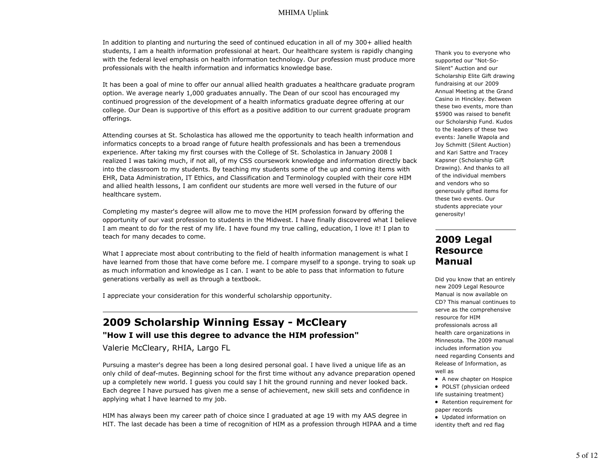In addition to planting and nurturing the seed of continued education in all of my 300+ allied health students, I am a health information professional at heart. Our healthcare system is rapidly changing with the federal level emphasis on health information technology. Our profession must produce more professionals with the health information and informatics knowledge base.

It has been a goal of mine to offer our annual allied health graduates a healthcare graduate program option. We average nearly 1,000 graduates annually. The Dean of our scool has encouraged my continued progression of the development of a health informatics graduate degree offering at our college. Our Dean is supportive of this effort as a positive addition to our current graduate program offerings.

Attending courses at St. Scholastica has allowed me the opportunity to teach health information and informatics concepts to a broad range of future health professionals and has been a tremendous experience. After taking my first courses with the College of St. Scholastica in January 2008 I realized I was taking much, if not all, of my CSS coursework knowledge and information directly back into the classroom to my students. By teaching my students some of the up and coming items with EHR, Data Administration, IT Ethics, and Classification and Terminology coupled with their core HIM and allied health lessons, I am confident our students are more well versed in the future of our healthcare system.

Completing my master's degree will allow me to move the HIM profession forward by offering the opportunity of our vast profession to students in the Midwest. I have finally discovered what I believe I am meant to do for the rest of my life. I have found my true calling, education, I love it! I plan to teach for many decades to come.

What I appreciate most about contributing to the field of health information management is what I have learned from those that have come before me. I compare myself to a sponge. trying to soak up as much information and knowledge as I can. I want to be able to pass that information to future generations verbally as well as through a textbook.

I appreciate your consideration for this wonderful scholarship opportunity.

### **2009 Scholarship Winning Essay - McCleary "How I will use this degree to advance the HIM profession"**

Valerie McCleary, RHIA, Largo FL

Pursuing a master's degree has been a long desired personal goal. I have lived a unique life as an only child of deaf-mutes. Beginning school for the first time without any advance preparation opened up a completely new world. I guess you could say I hit the ground running and never looked back. Each degree I have pursued has given me a sense of achievement, new skill sets and confidence in applying what I have learned to my job.

HIM has always been my career path of choice since I graduated at age 19 with my AAS degree in HIT. The last decade has been a time of recognition of HIM as a profession through HIPAA and a time Thank you to everyone who supported our "Not-So-Silent" Auction and our Scholarship Elite Gift drawing fundraising at our 2009 Annual Meeting at the Grand Casino in Hinckley. Between these two events, more than \$5900 was raised to benefit our Scholarship Fund. Kudos to the leaders of these two events: Janelle Wapola and Joy Schmitt (Silent Auction) and Kari Sattre and Tracey Kapsner (Scholarship Gift Drawing). And thanks to all of the individual members and vendors who so generously gifted items for these two events. Our students appreciate your generosity!

### **2009 Legal Resource Manual**

Did you know that an entirely new 2009 Legal Resource Manual is now available on CD? This manual continues to serve as the comprehensive resource for HIM professionals across all health care organizations in Minnesota. The 2009 manual includes information you need regarding Consents and Release of Information, as well as

• A new chapter on Hospice • POLST (physician ordeed

life sustaining treatment)

- Retention requirement for paper records
- Updated information on identity theft and red flag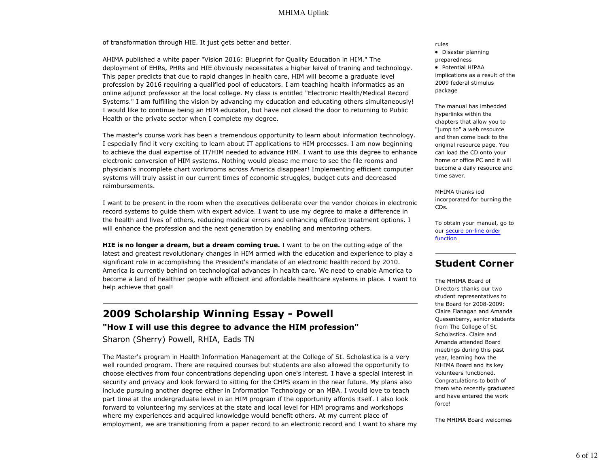of transformation through HIE. It just gets better and better.

AHIMA published a white paper "Vision 2016: Blueprint for Quality Education in HIM." The deployment of EHRs, PHRs and HIE obviously necessitates a higher leivel of traning and technology. This paper predicts that due to rapid changes in health care, HIM will become a graduate level profession by 2016 requiring a qualified pool of educators. I am teaching health informatics as an online adjunct professsor at the local college. My class is entitled "Electronic Health/Medical Record Systems." I am fulfilling the vision by advancing my education and educating others simultaneously! I would like to continue being an HIM educator, but have not closed the door to returning to Public Health or the private sector when I complete my degree.

The master's course work has been a tremendous opportunity to learn about information technology. I especially find it very exciting to learn about IT applications to HIM processes. I am now beginning to achieve the dual expertise of IT/HIM needed to advance HIM. I want to use this degree to enhance electronic conversion of HIM systems. Nothing would please me more to see the file rooms and physician's incomplete chart workrooms across America disappear! Implementing efficient computer systems will truly assist in our current times of economic struggles, budget cuts and decreased reimbursements.

I want to be present in the room when the executives deliberate over the vendor choices in electronic record systems to guide them with expert advice. I want to use my degree to make a difference in the health and lives of others, reducing medical errors and enhancing effective treatment options. I will enhance the profession and the next generation by enabling and mentoring others.

**HIE is no longer a dream, but a dream coming true.** I want to be on the cutting edge of the latest and greatest revolutionary changes in HIM armed with the education and experience to play a significant role in accomplishing the President's mandate of an electronic health record by 2010. America is currently behind on technological advances in health care. We need to enable America to become a land of healthier people with efficient and affordable healthcare systems in place. I want to help achieve that goal!

# **2009 Scholarship Winning Essay - Powell**

### **"How I will use this degree to advance the HIM profession"**

Sharon (Sherry) Powell, RHIA, Eads TN

The Master's program in Health Information Management at the College of St. Scholastica is a very well rounded program. There are required courses but students are also allowed the opportunity to choose electives from four concentrations depending upon one's interest. I have a special interest in security and privacy and look forward to sitting for the CHPS exam in the near future. My plans also include pursuing another degree either in Information Technology or an MBA. I would love to teach part time at the undergraduate level in an HIM program if the opportunity affords itself. I also look forward to volunteering my services at the state and local level for HIM programs and workshops where my experiences and acquired knowledge would benefit others. At my current place of employment, we are transitioning from a paper record to an electronic record and I want to share my

#### rules

• Disaster planning preparedness

• Potential HIPAA implications as a result of the 2009 federal stimulus package

The manual has imbedded hyperlinks within the chapters that allow you to "jump to" a web resource and then come back to the original resource page. You can load the CD onto your home or office PC and it will become a daily resource and time saver.

MHIMA thanks iod incorporated for burning the CDs.

To obtain your manual, go to our secure on-line order function

### **Student Corner**

The MHIMA Board of Directors thanks our two student representatives to the Board for 2008-2009: Claire Flanagan and Amanda Quesenberry, senior students from The College of St. Scholastica. Claire and Amanda attended Board meetings during this past year, learning how the MHIMA Board and its key volunteers functioned. Congratulations to both of them who recently graduated and have entered the work force!

The MHIMA Board welcomes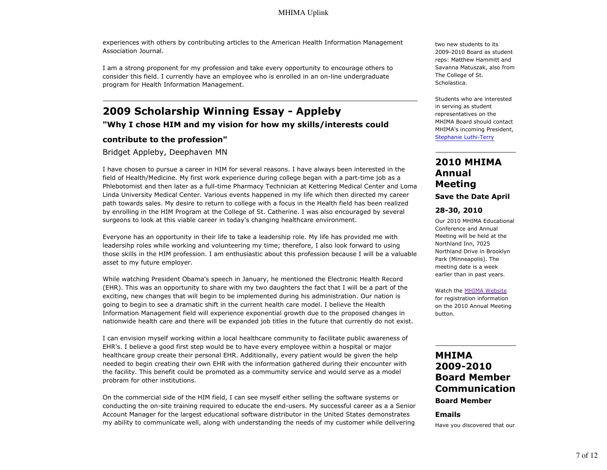experiences with others by contributing articles to the American Health Information Management Association Journal.

I am a strong proponent for my profession and take every opportunity to encourage others to consider this field. I currently have an employee who is enrolled in an on-line undergraduate program for Health Information Management.

# **2009 Scholarship Winning Essay - Appleby**

**"Why I chose HIM and my vision for how my skills/interests could**

### **contribute to the profession"**

Bridget Appleby, Deephaven MN

I have chosen to pursue a career in HIM for several reasons. I have always been interested in the field of Health/Medicine. My first work experience during college began with a part-time job as a Phlebotomist and then later as a full-time Pharmacy Technician at Kettering Medical Center and Loma Linda University Medical Center. Various events happened in my life which then directed my career path towards sales. My desire to return to college with a focus in the Health field has been realized by enrolling in the HIM Program at the College of St. Catherine. I was also encouraged by several surgeons to look at this viable career in today's changing healthcare environment.

Everyone has an opportunity in their life to take a leadership role. My life has provided me with leadersihp roles while working and volunteering my time; therefore, I also look forward to using those skills in the HIM profession. I am enthusiastic about this profession because I will be a valuable asset to my future employer.

While watching President Obama's speech in January, he mentioned the Electronic Health Record (EHR). This was an opportunity to share with my two daughters the fact that I will be a part of the exciting, new changes that will begin to be implemented during his administration. Our nation is going to begin to see a dramatic shift in the current health care model. I believe the Health Information Management field will experience exponential growth due to the proposed changes in nationwide health care and there will be expanded job titles in the future that currently do not exist.

I can envision myself working within a local healthcare community to facilitate public awareness of EHR's. I believe a good first step would be to have every employee within a hospital or major healthcare group create their personal EHR. Additionally, every patient would be given the help needed to begin creating their own EHR with the information gathered during their encounter with the facility. This benefit could be promoted as a commumity service and would serve as a model probram for other institutions.

On the commercial side of the HIM field, I can see myself either selling the software systems or conducting the on-site training required to educate the end-users. My successful career as a a Senior Account Manager for the largest educational software distributor in the United States demonstrates my ability to communicate well, along with understanding the needs of my customer while delivering

two new students to its 2009-2010 Board as student reps: Matthew Hammitt and Savanna Matuszak, also from The College of St. Scholastica.

Students who are interested in serving as student representatives on the MHIMA Board should contact MHIMA's incoming President, Stephanie Luthi-Terry

### **2010 MHIMA Annual Meeting Save the Date April**

### **28-30, 2010**

Our 2010 MHIMA Educational Conference and Annual Meeting will be held at the Northland Inn, 7025 Northland Drive in Brooklyn Park (Minneapolis). The meeting date is a week earlier than in past years.

Watch the MHIMA Website for registration information on the 2010 Annual Meeting button.

### **MHIMA 2009-2010 Board Member Communication Board Member**

#### **Emails**

Have you discovered that our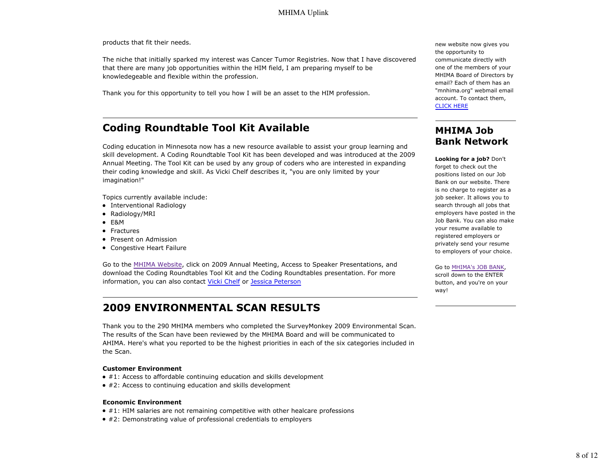products that fit their needs.

The niche that initially sparked my interest was Cancer Tumor Registries. Now that I have discovered that there are many job opportunities within the HIM field, I am preparing myself to be knowledegeable and flexible within the profession.

Thank you for this opportunity to tell you how I will be an asset to the HIM profession.

# **Coding Roundtable Tool Kit Available**

Coding education in Minnesota now has a new resource available to assist your group learning and skill development. A Coding Roundtable Tool Kit has been developed and was introduced at the 2009 Annual Meeting. The Tool Kit can be used by any group of coders who are interested in expanding their coding knowledge and skill. As Vicki Chelf describes it, "you are only limited by your imagination!"

Topics currently available include:

- Interventional Radiology
- Radiology/MRI
- E&M
- Fractures
- Present on Admission
- Congestive Heart Failure

Go to the MHIMA Website, click on 2009 Annual Meeting, Access to Speaker Presentations, and download the Coding Roundtables Tool Kit and the Coding Roundtables presentation. For more information, you can also contact Vicki Chelf or Jessica Peterson

# **2009 ENVIRONMENTAL SCAN RESULTS**

Thank you to the 290 MHIMA members who completed the SurveyMonkey 2009 Environmental Scan. The results of the Scan have been reviewed by the MHIMA Board and will be communicated to AHIMA. Here's what you reported to be the highest priorities in each of the six categories included in the Scan.

#### **Customer Environment**

- #1: Access to affordable continuing education and skills development
- #2: Access to continuing education and skills development

#### **Economic Environment**

- $* 41$ : HIM salaries are not remaining competitive with other healcare professions
- #2: Demonstrating value of professional credentials to employers

new website now gives you the opportunity to communicate directly with one of the members of your MHIMA Board of Directors by email? Each of them has an "mnhima.org" webmail email account. To contact them, CLICK HERE

### **MHIMA Job Bank Network**

**Looking for a job?** Don't forget to check out the positions listed on our Job Bank on our website. There is no charge to register as a job seeker. It allows you to search through all jobs that employers have posted in the Job Bank. You can also make your resume available to registered employers or privately send your resume to employers of your choice.

#### Go to MHIMA's JOB BANK,

scroll down to the ENTER button, and you're on your way!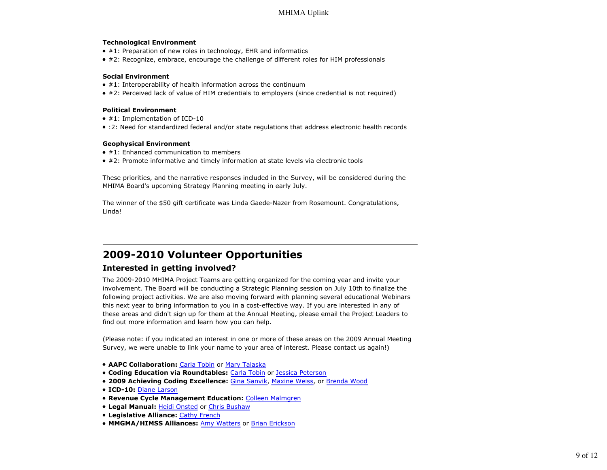#### **Technological Environment**

- $\bullet$  #1: Preparation of new roles in technology, EHR and informatics
- #2: Recognize, embrace, encourage the challenge of different roles for HIM professionals

#### **Social Environment**

- $\bullet$  #1: Interoperability of health information across the continuum
- #2: Perceived lack of value of HIM credentials to employers (since credential is not required)

#### **Political Environment**

- $\bullet$  #1: Implementation of ICD-10
- :2: Need for standardized federal and/or state regulations that address electronic health records

#### **Geophysical Environment**

- #1: Enhanced communication to members
- #2: Promote informative and timely information at state levels via electronic tools

These priorities, and the narrative responses included in the Survey, will be considered during the MHIMA Board's upcoming Strategy Planning meeting in early July.

The winner of the \$50 gift certificate was Linda Gaede-Nazer from Rosemount. Congratulations, Linda!

# **2009-2010 Volunteer Opportunities**

### **Interested in getting involved?**

The 2009-2010 MHIMA Project Teams are getting organized for the coming year and invite your involvement. The Board will be conducting a Strategic Planning session on July 10th to finalize the following project activities. We are also moving forward with planning several educational Webinars this next year to bring information to you in a cost-effective way. If you are interested in any of these areas and didn't sign up for them at the Annual Meeting, please email the Project Leaders to find out more information and learn how you can help.

(Please note: if you indicated an interest in one or more of these areas on the 2009 Annual Meeting Survey, we were unable to link your name to your area of interest. Please contact us again!)

- **AAPC Collaboration:** Carla Tobin or Mary Talaska
- **Coding Education via Roundtables:** Carla Tobin or Jessica Peterson
- **2009 Achieving Coding Excellence:** Gina Sanvik, Maxine Weiss, or Brenda Wood
- **ICD-10:** Diane Larson
- **Revenue Cycle Management Education:** Colleen Malmgren
- **Legal Manual:** Heidi Onsted or Chris Bushaw
- **Legislative Alliance:** Cathy French
- **MMGMA/HIMSS Alliances: Amy Watters or Brian Erickson**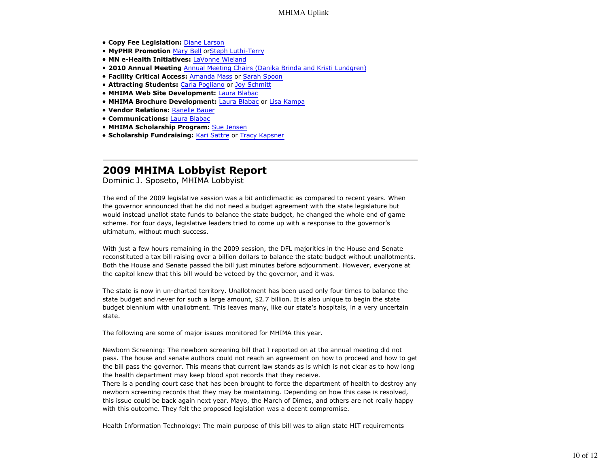- **Copy Fee Legislation:** Diane Larson
- **MyPHR Promotion** Mary Bell orSteph Luthi-Terry
- **MN e-Health Initiatives:** LaVonne Wieland
- **2010 Annual Meeting** Annual Meeting Chairs (Danika Brinda and Kristi Lundgren)
- **Facility Critical Access:** Amanda Mass or Sarah Spoon
- **Attracting Students:** Carla Pogliano or Joy Schmitt
- **MHIMA Web Site Development:** Laura Blabac
- **MHIMA Brochure Development:** Laura Blabac or Lisa Kampa
- **Vendor Relations:** Ranelle Bauer
- **Communications:** Laura Blabac
- **MHIMA Scholarship Program:** Sue Jensen
- **Scholarship Fundraising:** Kari Sattre or Tracy Kapsner

### **2009 MHIMA Lobbyist Report**

Dominic J. Sposeto, MHIMA Lobbyist

The end of the 2009 legislative session was a bit anticlimactic as compared to recent years. When the governor announced that he did not need a budget agreement with the state legislature but would instead unallot state funds to balance the state budget, he changed the whole end of game scheme. For four days, legislative leaders tried to come up with a response to the governor's ultimatum, without much success.

With just a few hours remaining in the 2009 session, the DFL majorities in the House and Senate reconstituted a tax bill raising over a billion dollars to balance the state budget without unallotments. Both the House and Senate passed the bill just minutes before adjournment. However, everyone at the capitol knew that this bill would be vetoed by the governor, and it was.

The state is now in un-charted territory. Unallotment has been used only four times to balance the state budget and never for such a large amount, \$2.7 billion. It is also unique to begin the state budget biennium with unallotment. This leaves many, like our state's hospitals, in a very uncertain state.

The following are some of major issues monitored for MHIMA this year.

Newborn Screening: The newborn screening bill that I reported on at the annual meeting did not pass. The house and senate authors could not reach an agreement on how to proceed and how to get the bill pass the governor. This means that current law stands as is which is not clear as to how long the health department may keep blood spot records that they receive.

There is a pending court case that has been brought to force the department of health to destroy any newborn screening records that they may be maintaining. Depending on how this case is resolved, this issue could be back again next year. Mayo, the March of Dimes, and others are not really happy with this outcome. They felt the proposed legislation was a decent compromise.

Health Information Technology: The main purpose of this bill was to align state HIT requirements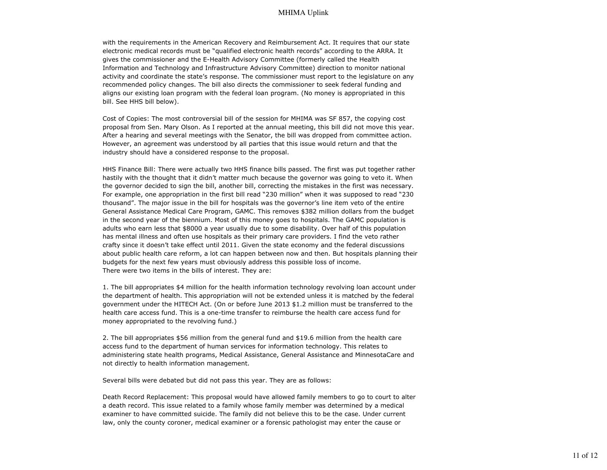with the requirements in the American Recovery and Reimbursement Act. It requires that our state electronic medical records must be "qualified electronic health records" according to the ARRA. It gives the commissioner and the E-Health Advisory Committee (formerly called the Health Information and Technology and Infrastructure Advisory Committee) direction to monitor national activity and coordinate the state's response. The commissioner must report to the legislature on any recommended policy changes. The bill also directs the commissioner to seek federal funding and aligns our existing loan program with the federal loan program. (No money is appropriated in this bill. See HHS bill below).

Cost of Copies: The most controversial bill of the session for MHIMA was SF 857, the copying cost proposal from Sen. Mary Olson. As I reported at the annual meeting, this bill did not move this year. After a hearing and several meetings with the Senator, the bill was dropped from committee action. However, an agreement was understood by all parties that this issue would return and that the industry should have a considered response to the proposal.

HHS Finance Bill: There were actually two HHS finance bills passed. The first was put together rather hastily with the thought that it didn't matter much because the governor was going to veto it. When the governor decided to sign the bill, another bill, correcting the mistakes in the first was necessary. For example, one appropriation in the first bill read "230 million" when it was supposed to read "230 thousand". The major issue in the bill for hospitals was the governor's line item veto of the entire General Assistance Medical Care Program, GAMC. This removes \$382 million dollars from the budget in the second year of the biennium. Most of this money goes to hospitals. The GAMC population is adults who earn less that \$8000 a year usually due to some disability. Over half of this population has mental illness and often use hospitals as their primary care providers. I find the veto rather crafty since it doesn't take effect until 2011. Given the state economy and the federal discussions about public health care reform, a lot can happen between now and then. But hospitals planning their budgets for the next few years must obviously address this possible loss of income. There were two items in the bills of interest. They are:

1. The bill appropriates \$4 million for the health information technology revolving loan account under the department of health. This appropriation will not be extended unless it is matched by the federal government under the HITECH Act. (On or before June 2013 \$1.2 million must be transferred to the health care access fund. This is a one-time transfer to reimburse the health care access fund for money appropriated to the revolving fund.)

2. The bill appropriates \$56 million from the general fund and \$19.6 million from the health care access fund to the department of human services for information technology. This relates to administering state health programs, Medical Assistance, General Assistance and MinnesotaCare and not directly to health information management.

Several bills were debated but did not pass this year. They are as follows:

Death Record Replacement: This proposal would have allowed family members to go to court to alter a death record. This issue related to a family whose family member was determined by a medical examiner to have committed suicide. The family did not believe this to be the case. Under current law, only the county coroner, medical examiner or a forensic pathologist may enter the cause or